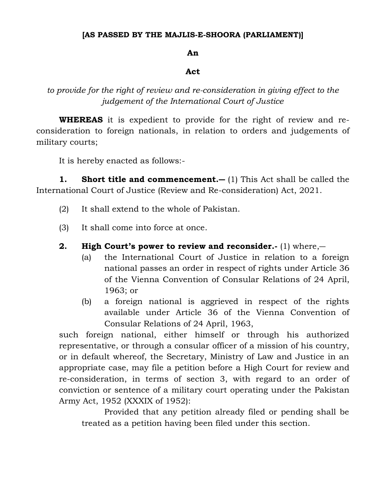## **[AS PASSED BY THE MAJLIS-E-SHOORA (PARLIAMENT)]**

## **An**

## **Act**

*to provide for the right of review and re-consideration in giving effect to the judgement of the International Court of Justice*

**WHEREAS** it is expedient to provide for the right of review and reconsideration to foreign nationals, in relation to orders and judgements of military courts;

It is hereby enacted as follows:-

**1. Short title and commencement.―** (1) This Act shall be called the International Court of Justice (Review and Re-consideration) Act, 2021.

- (2) It shall extend to the whole of Pakistan.
- (3) It shall come into force at once.

## **2. High Court's power to review and reconsider.-** (1) where,―

- (a) the International Court of Justice in relation to a foreign national passes an order in respect of rights under Article 36 of the Vienna Convention of Consular Relations of 24 April, 1963; or
- (b) a foreign national is aggrieved in respect of the rights available under Article 36 of the Vienna Convention of Consular Relations of 24 April, 1963,

such foreign national, either himself or through his authorized representative, or through a consular officer of a mission of his country, or in default whereof, the Secretary, Ministry of Law and Justice in an appropriate case, may file a petition before a High Court for review and re-consideration, in terms of section 3, with regard to an order of conviction or sentence of a military court operating under the Pakistan Army Act, 1952 (XXXIX of 1952):

Provided that any petition already filed or pending shall be treated as a petition having been filed under this section.